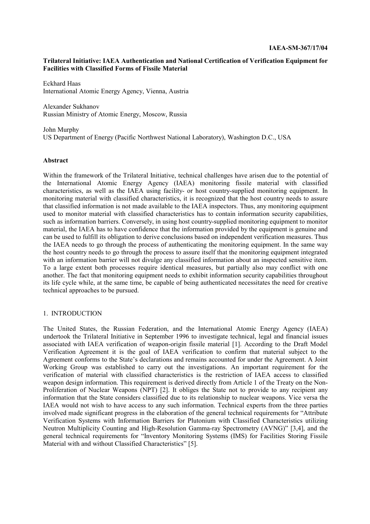## **Trilateral Initiative: IAEA Authentication and National Certification of Verification Equipment for Facilities with Classified Forms of Fissile Material**

Eckhard Haas International Atomic Energy Agency, Vienna, Austria

Alexander Sukhanov Russian Ministry of Atomic Energy, Moscow, Russia

John Murphy US Department of Energy (Pacific Northwest National Laboratory), Washington D.C., USA

## **Abstract**

Within the framework of the Trilateral Initiative, technical challenges have arisen due to the potential of the International Atomic Energy Agency (IAEA) monitoring fissile material with classified characteristics, as well as the IAEA using facility- or host country-supplied monitoring equipment. In monitoring material with classified characteristics, it is recognized that the host country needs to assure that classified information is not made available to the IAEA inspectors. Thus, any monitoring equipment used to monitor material with classified characteristics has to contain information security capabilities, such as information barriers. Conversely, in using host country-supplied monitoring equipment to monitor material, the IAEA has to have confidence that the information provided by the equipment is genuine and can be used to fulfill its obligation to derive conclusions based on independent verification measures. Thus the IAEA needs to go through the process of authenticating the monitoring equipment. In the same way the host country needs to go through the process to assure itself that the monitoring equipment integrated with an information barrier will not divulge any classified information about an inspected sensitive item. To a large extent both processes require identical measures, but partially also may conflict with one another. The fact that monitoring equipment needs to exhibit information security capabilities throughout its life cycle while, at the same time, be capable of being authenticated necessitates the need for creative technical approaches to be pursued.

## 1. INTRODUCTION

The United States, the Russian Federation, and the International Atomic Energy Agency (IAEA) undertook the Trilateral Initiative in September 1996 to investigate technical, legal and financial issues associated with IAEA verification of weapon-origin fissile material [1]. According to the Draft Model Verification Agreement it is the goal of IAEA verification to confirm that material subject to the Agreement conforms to the State's declarations and remains accounted for under the Agreement. A Joint Working Group was established to carry out the investigations. An important requirement for the verification of material with classified characteristics is the restriction of IAEA access to classified weapon design information. This requirement is derived directly from Article 1 of the Treaty on the Non-Proliferation of Nuclear Weapons (NPT) [2]. It obliges the State not to provide to any recipient any information that the State considers classified due to its relationship to nuclear weapons. Vice versa the IAEA would not wish to have access to any such information. Technical experts from the three parties involved made significant progress in the elaboration of the general technical requirements for "Attribute Verification Systems with Information Barriers for Plutonium with Classified Characteristics utilizing Neutron Multiplicity Counting and High-Resolution Gamma-ray Spectrometry (AVNG)" [3,4], and the general technical requirements for "Inventory Monitoring Systems (IMS) for Facilities Storing Fissile Material with and without Classified Characteristics" [5].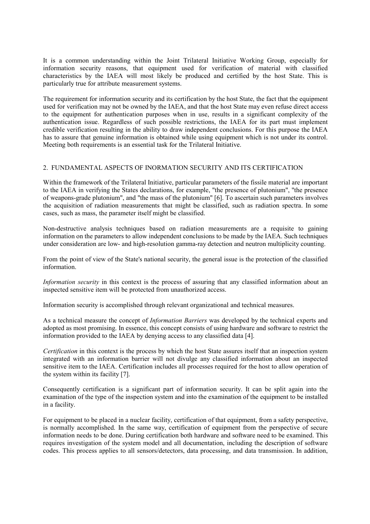It is a common understanding within the Joint Trilateral Initiative Working Group, especially for information security reasons, that equipment used for verification of material with classified characteristics by the IAEA will most likely be produced and certified by the host State. This is particularly true for attribute measurement systems.

The requirement for information security and its certification by the host State, the fact that the equipment used for verification may not be owned by the IAEA, and that the host State may even refuse direct access to the equipment for authentication purposes when in use, results in a significant complexity of the authentication issue. Regardless of such possible restrictions, the IAEA for its part must implement credible verification resulting in the ability to draw independent conclusions. For this purpose the IAEA has to assure that genuine information is obtained while using equipment which is not under its control. Meeting both requirements is an essential task for the Trilateral Initiative.

# 2. FUNDAMENTAL ASPECTS OF INORMATION SECURITY AND ITS CERTIFICATION

Within the framework of the Trilateral Initiative, particular parameters of the fissile material are important to the IAEA in verifying the States declarations, for example, "the presence of plutonium", "the presence of weapons-grade plutonium", and "the mass of the plutonium" [6]. To ascertain such parameters involves the acquisition of radiation measurements that might be classified, such as radiation spectra. In some cases, such as mass, the parameter itself might be classified.

Non-destructive analysis techniques based on radiation measurements are a requisite to gaining information on the parameters to allow independent conclusions to be made by the IAEA. Such techniques under consideration are low- and high-resolution gamma-ray detection and neutron multiplicity counting.

From the point of view of the State's national security, the general issue is the protection of the classified information.

*Information security* in this context is the process of assuring that any classified information about an inspected sensitive item will be protected from unauthorized access.

Information security is accomplished through relevant organizational and technical measures.

As a technical measure the concept of *Information Barriers* was developed by the technical experts and adopted as most promising. In essence, this concept consists of using hardware and software to restrict the information provided to the IAEA by denying access to any classified data [4].

*Certification* in this context is the process by which the host State assures itself that an inspection system integrated with an information barrier will not divulge any classified information about an inspected sensitive item to the IAEA. Certification includes all processes required for the host to allow operation of the system within its facility [7].

Consequently certification is a significant part of information security. It can be split again into the examination of the type of the inspection system and into the examination of the equipment to be installed in a facility.

For equipment to be placed in a nuclear facility, certification of that equipment, from a safety perspective, is normally accomplished. In the same way, certification of equipment from the perspective of secure information needs to be done. During certification both hardware and software need to be examined. This requires investigation of the system model and all documentation, including the description of software codes. This process applies to all sensors/detectors, data processing, and data transmission. In addition,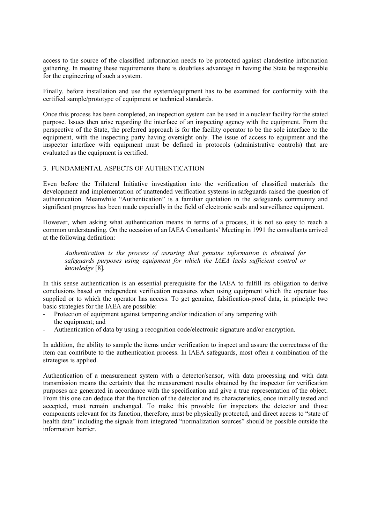access to the source of the classified information needs to be protected against clandestine information gathering. In meeting these requirements there is doubtless advantage in having the State be responsible for the engineering of such a system.

Finally, before installation and use the system/equipment has to be examined for conformity with the certified sample/prototype of equipment or technical standards.

Once this process has been completed, an inspection system can be used in a nuclear facility for the stated purpose. Issues then arise regarding the interface of an inspecting agency with the equipment. From the perspective of the State, the preferred approach is for the facility operator to be the sole interface to the equipment, with the inspecting party having oversight only. The issue of access to equipment and the inspector interface with equipment must be defined in protocols (administrative controls) that are evaluated as the equipment is certified.

# 3. FUNDAMENTAL ASPECTS OF AUTHENTICATION

Even before the Trilateral Initiative investigation into the verification of classified materials the development and implementation of unattended verification systems in safeguards raised the question of authentication. Meanwhile "Authentication" is a familiar quotation in the safeguards community and significant progress has been made especially in the field of electronic seals and surveillance equipment.

However, when asking what authentication means in terms of a process, it is not so easy to reach a common understanding. On the occasion of an IAEA Consultants' Meeting in 1991 the consultants arrived at the following definition:

*Authentication is the process of assuring that genuine information is obtained for safeguards purposes using equipment for which the IAEA lacks sufficient control or knowledge* [8]*.* 

In this sense authentication is an essential prerequisite for the IAEA to fulfill its obligation to derive conclusions based on independent verification measures when using equipment which the operator has supplied or to which the operator has access. To get genuine, falsification-proof data, in principle two basic strategies for the IAEA are possible:

- Protection of equipment against tampering and/or indication of any tampering with the equipment; and
- Authentication of data by using a recognition code/electronic signature and/or encryption.

In addition, the ability to sample the items under verification to inspect and assure the correctness of the item can contribute to the authentication process. In IAEA safeguards, most often a combination of the strategies is applied.

Authentication of a measurement system with a detector/sensor, with data processing and with data transmission means the certainty that the measurement results obtained by the inspector for verification purposes are generated in accordance with the specification and give a true representation of the object. From this one can deduce that the function of the detector and its characteristics, once initially tested and accepted, must remain unchanged. To make this provable for inspectors the detector and those components relevant for its function, therefore, must be physically protected, and direct access to "state of health data" including the signals from integrated "normalization sources" should be possible outside the information barrier.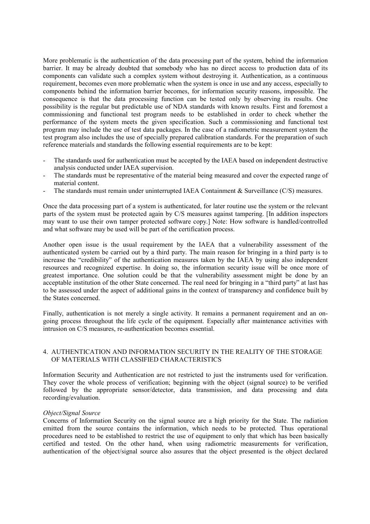More problematic is the authentication of the data processing part of the system, behind the information barrier. It may be already doubted that somebody who has no direct access to production data of its components can validate such a complex system without destroying it. Authentication, as a continuous requirement, becomes even more problematic when the system is once in use and any access, especially to components behind the information barrier becomes, for information security reasons, impossible. The consequence is that the data processing function can be tested only by observing its results. One possibility is the regular but predictable use of NDA standards with known results. First and foremost a commissioning and functional test program needs to be established in order to check whether the performance of the system meets the given specification. Such a commissioning and functional test program may include the use of test data packages. In the case of a radiometric measurement system the test program also includes the use of specially prepared calibration standards. For the preparation of such reference materials and standards the following essential requirements are to be kept:

- The standards used for authentication must be accepted by the IAEA based on independent destructive analysis conducted under IAEA supervision.
- The standards must be representative of the material being measured and cover the expected range of material content.
- The standards must remain under uninterrupted IAEA Containment & Surveillance (C/S) measures.

Once the data processing part of a system is authenticated, for later routine use the system or the relevant parts of the system must be protected again by C/S measures against tampering. [In addition inspectors may want to use their own tamper protected software copy.] Note: How software is handled/controlled and what software may be used will be part of the certification process.

Another open issue is the usual requirement by the IAEA that a vulnerability assessment of the authenticated system be carried out by a third party. The main reason for bringing in a third party is to increase the "credibility" of the authentication measures taken by the IAEA by using also independent resources and recognized expertise. In doing so, the information security issue will be once more of greatest importance. One solution could be that the vulnerability assessment might be done by an acceptable institution of the other State concerned. The real need for bringing in a "third party" at last has to be assessed under the aspect of additional gains in the context of transparency and confidence built by the States concerned.

Finally, authentication is not merely a single activity. It remains a permanent requirement and an ongoing process throughout the life cycle of the equipment. Especially after maintenance activities with intrusion on C/S measures, re-authentication becomes essential.

# 4. AUTHENTICATION AND INFORMATION SECURITY IN THE REALITY OF THE STORAGE OF MATERIALS WITH CLASSIFIED CHARACTERISTICS

Information Security and Authentication are not restricted to just the instruments used for verification. They cover the whole process of verification; beginning with the object (signal source) to be verified followed by the appropriate sensor/detector, data transmission, and data processing and data recording/evaluation.

#### *Object/Signal Source*

Concerns of Information Security on the signal source are a high priority for the State. The radiation emitted from the source contains the information, which needs to be protected. Thus operational procedures need to be established to restrict the use of equipment to only that which has been basically certified and tested. On the other hand, when using radiometric measurements for verification, authentication of the object/signal source also assures that the object presented is the object declared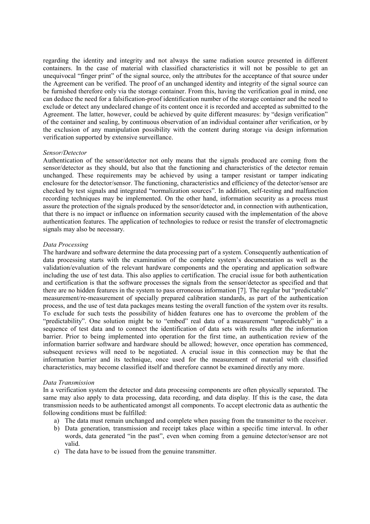regarding the identity and integrity and not always the same radiation source presented in different containers. In the case of material with classified characteristics it will not be possible to get an unequivocal "finger print" of the signal source, only the attributes for the acceptance of that source under the Agreement can be verified. The proof of an unchanged identity and integrity of the signal source can be furnished therefore only via the storage container. From this, having the verification goal in mind, one can deduce the need for a falsification-proof identification number of the storage container and the need to exclude or detect any undeclared change of its content once it is recorded and accepted as submitted to the Agreement. The latter, however, could be achieved by quite different measures: by "design verification" of the container and sealing, by continuous observation of an individual container after verification, or by the exclusion of any manipulation possibility with the content during storage via design information verification supported by extensive surveillance.

#### *Sensor/Detector*

Authentication of the sensor/detector not only means that the signals produced are coming from the sensor/detector as they should, but also that the functioning and characteristics of the detector remain unchanged. These requirements may be achieved by using a tamper resistant or tamper indicating enclosure for the detector/sensor. The functioning, characteristics and efficiency of the detector/sensor are checked by test signals and integrated "normalization sources". In addition, self-testing and malfunction recording techniques may be implemented. On the other hand, information security as a process must assure the protection of the signals produced by the sensor/detector and, in connection with authentication, that there is no impact or influence on information security caused with the implementation of the above authentication features. The application of technologies to reduce or resist the transfer of electromagnetic signals may also be necessary.

## *Data Processing*

The hardware and software determine the data processing part of a system. Consequently authentication of data processing starts with the examination of the complete system's documentation as well as the validation/evaluation of the relevant hardware components and the operating and application software including the use of test data. This also applies to certification. The crucial issue for both authentication and certification is that the software processes the signals from the sensor/detector as specified and that there are no hidden features in the system to pass erroneous information [7]. The regular but "predictable" measurement/re-measurement of specially prepared calibration standards, as part of the authentication process, and the use of test data packages means testing the overall function of the system over its results. To exclude for such tests the possibility of hidden features one has to overcome the problem of the "predictability". One solution might be to "embed" real data of a measurement "unpredictably" in a sequence of test data and to connect the identification of data sets with results after the information barrier. Prior to being implemented into operation for the first time, an authentication review of the information barrier software and hardware should be allowed; however, once operation has commenced, subsequent reviews will need to be negotiated. A crucial issue in this connection may be that the information barrier and its technique, once used for the measurement of material with classified characteristics, may become classified itself and therefore cannot be examined directly any more.

#### *Data Transmission*

In a verification system the detector and data processing components are often physically separated. The same may also apply to data processing, data recording, and data display. If this is the case, the data transmission needs to be authenticated amongst all components. To accept electronic data as authentic the following conditions must be fulfilled:

- a) The data must remain unchanged and complete when passing from the transmitter to the receiver.
- b) Data generation, transmission and receipt takes place within a specific time interval. In other words, data generated "in the past", even when coming from a genuine detector/sensor are not valid.
- c) The data have to be issued from the genuine transmitter.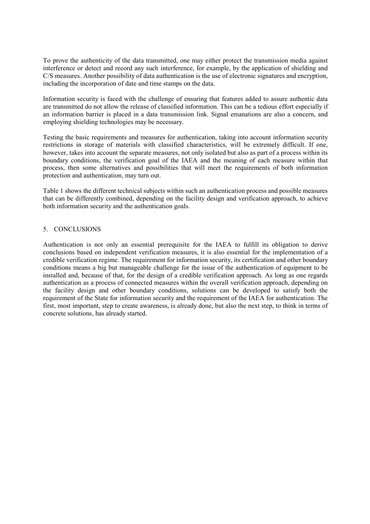To prove the authenticity of the data transmitted, one may either protect the transmission media against interference or detect and record any such interference, for example, by the application of shielding and C/S measures. Another possibility of data authentication is the use of electronic signatures and encryption, including the incorporation of date and time stamps on the data.

Information security is faced with the challenge of ensuring that features added to assure authentic data are transmitted do not allow the release of classified information. This can be a tedious effort especially if an information barrier is placed in a data transmission link. Signal emanations are also a concern, and employing shielding technologies may be necessary.

Testing the basic requirements and measures for authentication, taking into account information security restrictions in storage of materials with classified characteristics, will be extremely difficult. If one, however, takes into account the separate measures, not only isolated but also as part of a process within its boundary conditions, the verification goal of the IAEA and the meaning of each measure within that process, then some alternatives and possibilities that will meet the requirements of both information protection and authentication, may turn out.

Table 1 shows the different technical subjects within such an authentication process and possible measures that can be differently combined, depending on the facility design and verification approach, to achieve both information security and the authentication goals.

# 5. CONCLUSIONS

Authentication is not only an essential prerequisite for the IAEA to fulfill its obligation to derive conclusions based on independent verification measures, it is also essential for the implementation of a credible verification regime. The requirement for information security, its certification and other boundary conditions means a big but manageable challenge for the issue of the authentication of equipment to be installed and, because of that, for the design of a credible verification approach. As long as one regards authentication as a process of connected measures within the overall verification approach, depending on the facility design and other boundary conditions, solutions can be developed to satisfy both the requirement of the State for information security and the requirement of the IAEA for authentication. The first, most important, step to create awareness, is already done, but also the next step, to think in terms of concrete solutions, has already started.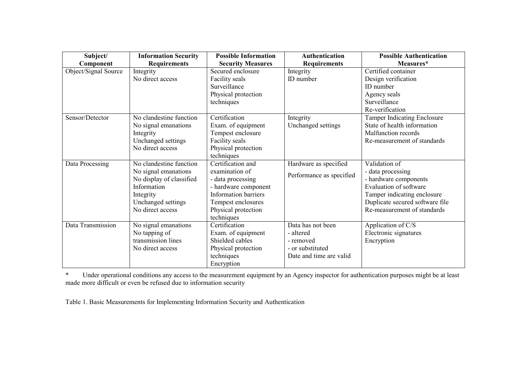| Subject/             | <b>Information Security</b> | <b>Possible Information</b> | <b>Authentication</b>    | <b>Possible Authentication</b>     |
|----------------------|-----------------------------|-----------------------------|--------------------------|------------------------------------|
| Component            | <b>Requirements</b>         | <b>Security Measures</b>    | <b>Requirements</b>      | Measures*                          |
| Object/Signal Source | Integrity                   | Secured enclosure           | Integrity                | Certified container                |
|                      | No direct access            | Facility seals              | ID number                | Design verification                |
|                      |                             | Surveillance                |                          | ID number                          |
|                      |                             | Physical protection         |                          | Agency seals                       |
|                      |                             | techniques                  |                          | Surveillance                       |
|                      |                             |                             |                          | Re-verification                    |
| Sensor/Detector      | No clandestine function     | Certification               | Integrity                | <b>Tamper Indicating Enclosure</b> |
|                      | No signal emanations        | Exam. of equipment          | Unchanged settings       | State of health information        |
|                      | Integrity                   | Tempest enclosure           |                          | Malfunction records                |
|                      | Unchanged settings          | Facility seals              |                          | Re-measurement of standards        |
|                      | No direct access            | Physical protection         |                          |                                    |
|                      |                             | techniques                  |                          |                                    |
| Data Processing      | No clandestine function     | Certification and           | Hardware as specified    | Validation of                      |
|                      | No signal emanations        | examination of              | Performance as specified | - data processing                  |
|                      | No display of classified    | - data processing           |                          | - hardware components              |
|                      | Information                 | - hardware component        |                          | Evaluation of software             |
|                      | Integrity                   | <b>Information barriers</b> |                          | Tamper indicating enclosure        |
|                      | Unchanged settings          | Tempest enclosures          |                          | Duplicate secured software file    |
|                      | No direct access            | Physical protection         |                          | Re-measurement of standards        |
|                      |                             | techniques                  |                          |                                    |
| Data Transmission    | No signal emanations        | Certification               | Data has not been        | Application of C/S                 |
|                      | No tapping of               | Exam. of equipment          | - altered                | Electronic signatures              |
|                      | transmission lines          | Shielded cables             | - removed                | Encryption                         |
|                      | No direct access            | Physical protection         | - or substituted         |                                    |
|                      |                             | techniques                  | Date and time are valid  |                                    |
|                      |                             | Encryption                  |                          |                                    |

\* Under operational conditions any access to the measurement equipment by an Agency inspector for authentication purposes might be at least made more difficult or even be refused due to information security

Table 1. Basic Measurements for Implementing Information Security and Authentication